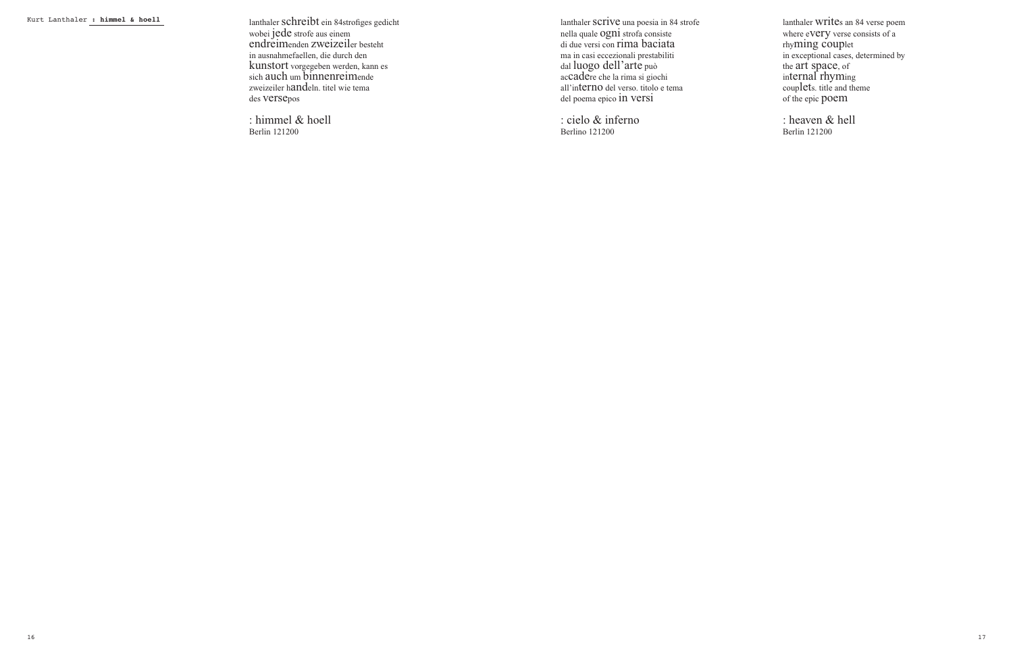Kurt Lanthaler **: himmel & hoell** lanthaler schreibt ein 84strofiges gedicht wobei jede strofe aus einem endreimenden zweizeiler besteht in ausnahmefaellen, die durch den kunstort vorgegeben werden, kann es sich auch um binnenreimende zweizeiler handeln. titel wie tema des versepos

> : himmel & hoell Berlin 121200

lanthaler scrive una poesia in 84 strofe nella quale ogni strofa consiste di due versi con rima baciata ma in casi eccezionali prestabiliti dal luogo dell'arte può accadere che la rima si giochi all'interno del verso. titolo e tema del poema epico in versi

: cielo & inferno Berlino 121200

lanthaler writes an 84 verse poem where eVery verse consists of a rhyming couplet in exceptional cases, determined by the art space, of internal rhyming couplets. title and theme of the epic poem

: heaven & hell Berlin 121200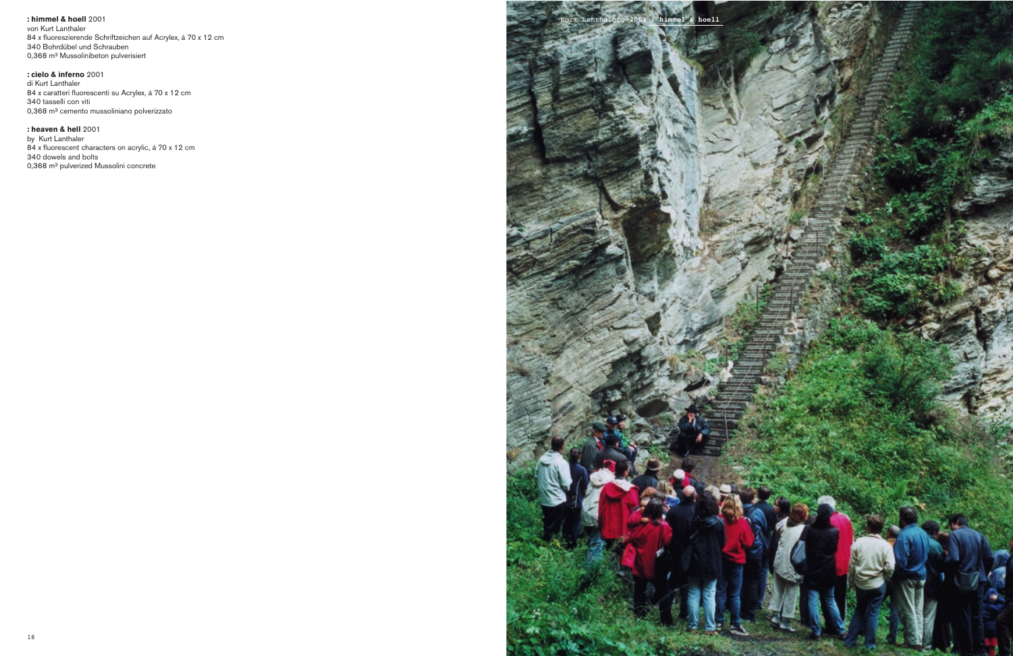von Kurt Lanthaler 84 x fluoreszierende Schriftzeichen auf Acrylex, á 70 x 12 cm 340 Bohrdübel und Schrauben 0,368 m<sup>3</sup> Mussolinibeton pulverisiert

**: cielo & inferno** 2001 di Kurt Lanthaler 84 x caratteri fluorescenti su Acrylex, á 70 x 12 cm 340 tasselli con viti 0,368 m<sup>3</sup> cemento mussoliniano polverizzato

**: heaven & hell** 2001 by Kurt Lanthaler 84 x fluorescent characters on acrylic, á 70 x 12 cm 340 dowels and bolts 0,368 m<sup>3</sup> pulverized Mussolini concrete

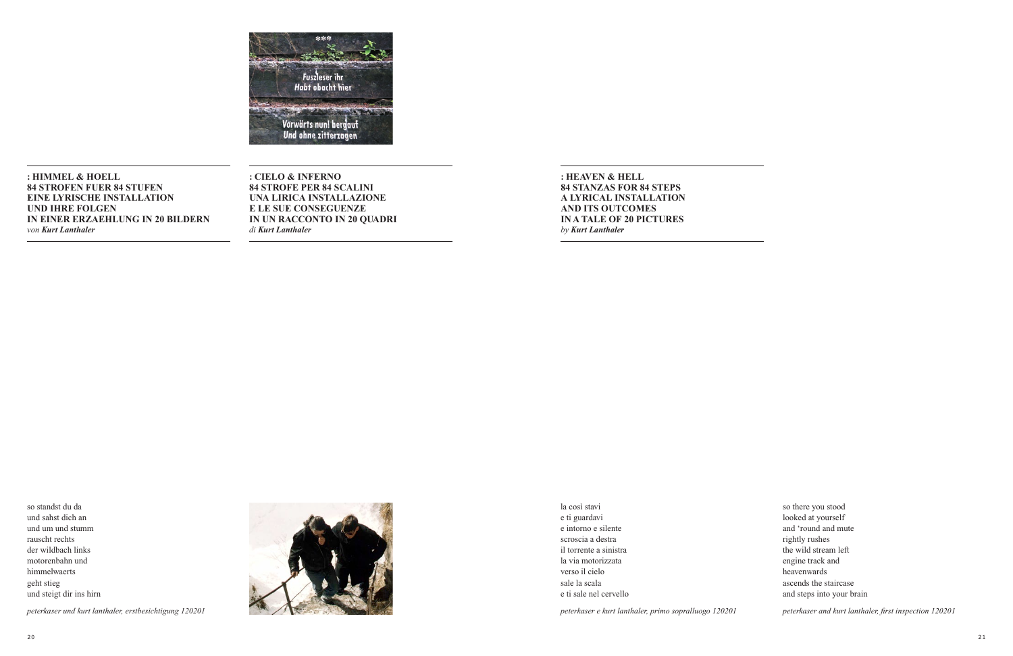

**: HIMMEL & HOELL 84 STROFEN FUER 84 STUFEN EINE LYRISCHE INSTALLATION UND IHRE FOLGEN IN EINER ERZAEHLUNG IN 20 BILDERN** *von Kurt Lanthaler*

**: CIELO & INFERNO 84 STROFE PER 84 SCALINI UNA LIRICA INSTALLAZIONE E LE SUE CONSEGUENZE IN UN RACCONTO IN 20 QUADRI** *di Kurt Lanthaler*

**: HEAVEN & HELL 84 STANZAS FOR 84 STEPS A LYRICAL INSTALLATION AND ITS OUTCOMES IN A TALE OF 20 PICTURES** *by Kurt Lanthaler*

so standst du da und sahst dich an und um und stumm rauscht rechts der wildbach links motorenbahn und himmelwaerts geht stieg und steigt dir ins hirn





la così stavi e ti guardavi e intorno e silente scroscia a destra il torrente a sinistra la via motorizzata verso il cielo sale la scala e ti sale nel cervello

*peterkaser e kurt lanthaler, primo sopralluogo 120201*

so there you stood looked at yourself and 'round and mute rightly rushes the wild stream left engine track and heavenwards ascends the staircase and steps into your brain

*peterkaser and kurt lanthaler, first inspection 120201*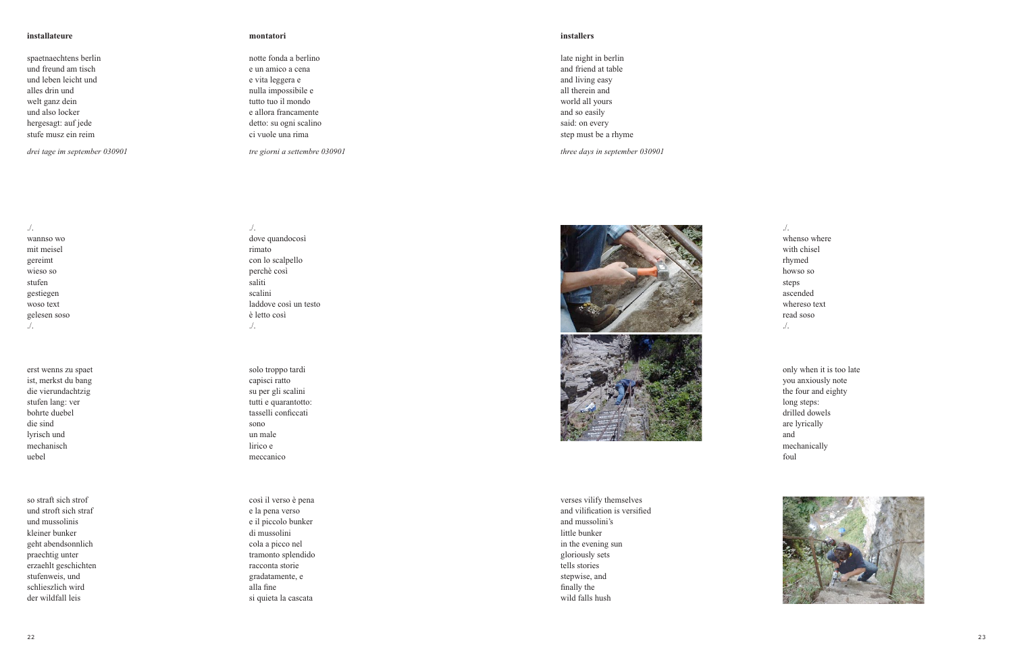# **installateur**

spaetnaechtens berlin und freund am tisch und leben leicht und alles drin und welt ganz dein und also locker hergesagt: auf jede stufe musz ein reim

*drei tage im september 030901*

./.

wannso w o mit meisel gereimt wieso so stufen gestiegen woso text gelesen soso ./.

erst wenns zu spaet ist, merkst du bang die vierundachtzig stufen lang: ver bohrte duebel die sind lyrisch und mechanisch uebel

so straft sich strof und stroft sich straf und mussolinis kleiner bunker geht abendsonnlich praechtig unter erzaehlt geschichten stufenweis, und schlieszlich wird der wildfall leis

## **e montatori**

./.

rimato

è letto così ./.

sono un male lirico e meccanico

dove quandocosì

con lo scalpello perchè così saliti scalini

laddove così un testo

solo troppo tardi capisci ratto su per gli scalini tutti e quarantotto: tasselli conficcati

così il verso è pena e la pena verso e il piccolo bunker di mussolini cola a picco nel tramonto splendido racconta storie gradatamente, e alla fine

si quieta la cascata

notte fonda a berlino e un amico a cena e vita leggera e nulla impossibile e tutto tuo il mondo e allora francamente detto: su ogni scalino ci vuole una rima

*tre giorni a settembre 030901*

### **installer s**

late night in berlin and friend at table and living easy all therein and world all yours and so easily said: on e ver y step must be a rhyme

*three days in september 030901*





verses vilify themselves and vilification is versified and mussolini' s little bunker in the e vening sun gloriously sets tells stories stepwise, and finally the wild falls hush

./. whenso where with chisel rhymed howso so steps ascended whereso text read soso ./.

only when it is too late you anxiously note the four and eighty long steps: drilled do wels are lyricall y and mechanicall y foul

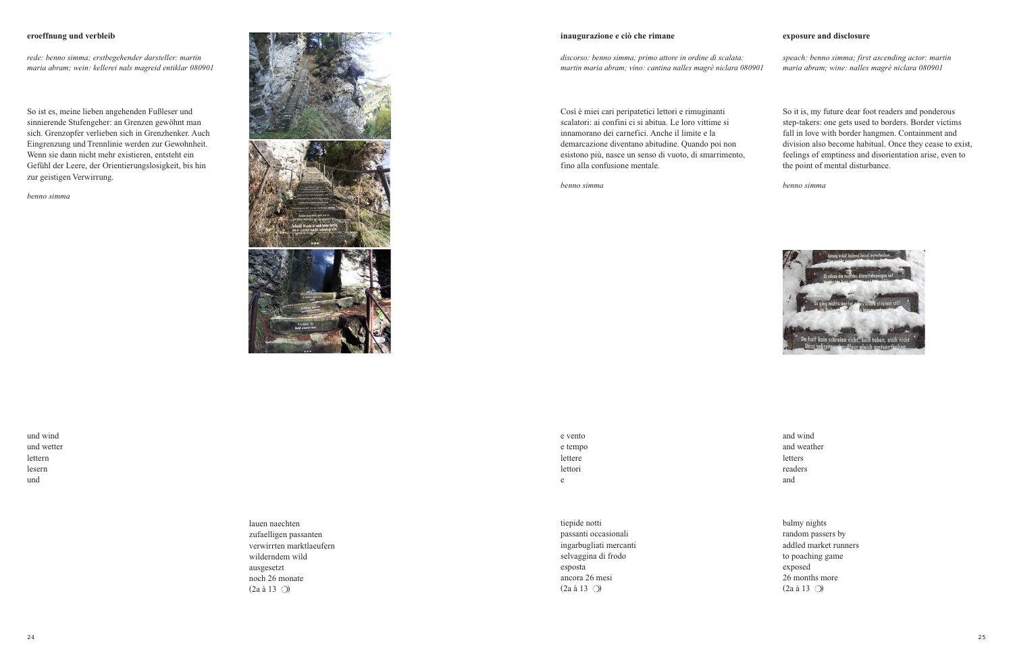# **eroeffnung und verbleib**

*rede: benno simma; erstbegehender darsteller: martin maria abram; wein: kellerei nals magreid entiklar 080901*

So ist es, meine lieben angehenden Fußleser und sinnierende Stufengeher: an Grenzen gewöhnt man sich. Grenzopfer verlieben sich in Grenzhenker. Auch Eingrenzung und Trennlinie werden zur Gewohnheit. Wenn sie dann nicht mehr existieren, entsteht ein Gefühl der Leere, der Orientierungslosigkeit, bis hin zur geistigen Verwirrung.

*benno simma*



**inaugurazione e ciò che rimane exposure and disclosure**

*discorso: benno simma; primo attore in ordine di scalata: martin maria abram; vino: cantina nalles magrè niclara 080901* *speach: benno simma; first ascending actor: martin maria abram; wine: nalles magrè niclara 080901*

Così è miei cari peripatetici lettori e rimuginanti scalatori: ai confini ci si abitua. Le loro vittime si innamorano dei carnefici. Anche il limite e la demarcazione diventano abitudine. Quando poi non esistono più, nasce un senso di vuoto, di smarrimento, fino alla confusione mentale.

*benno simma*

So it is, my future dear foot readers and ponderous step-takers: one gets used to borders. Border victims fall in love with border hangmen. Containment and division also become habitual. Once they cease to exist, feelings of emptiness and disorientation arise, even to the point of mental disturbance.

*benno simma*



und wind und wetter lettern lesern und

lauen naechten zufaelligen passanten verwirrten marktlaeufern wilderndem wild ausgesetzt noch 26 monate  $(2a \land 13 \text{)}$ 

e vento e tempo lettere lettori e

tiepide notti passanti occasionali ingarbugliati mercanti selvaggina di frodo esposta ancora 26 mesi  $(2a \land 13 \text{)}$ 

and wind and weather letters readers and

balmy nights random passers by addled market runners to poaching game exposed 26 months more  $(2a \land 13 \text{)}$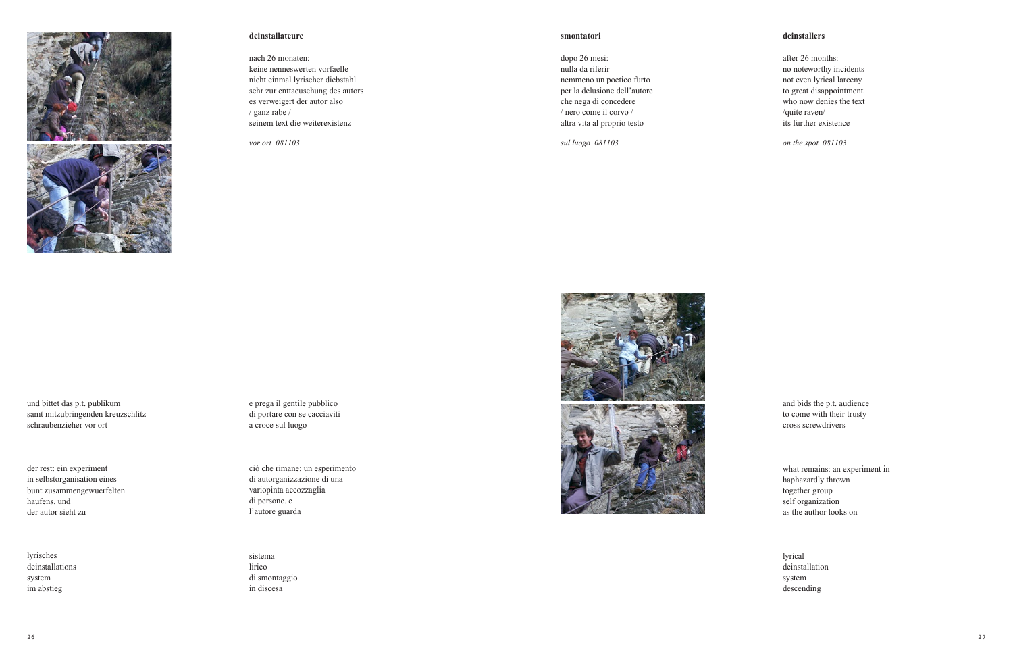

# **deinstallateure**

nach 26 monaten: keine nenneswerten vorfaelle nicht einmal lyrischer diebstahl sehr zur enttaeuschung des autors es verweigert der autor also / ganz rabe / seinem text die weiterexistenz

*vor ort 081103*

## **smontatori deinstallers**

dopo 26 mesi: nulla da riferir nemmeno un poetico furto per la delusione dell'autore che nega di concedere / nero come il corvo / altra vita al proprio testo

*sul luogo 081103*

after 26 months: no noteworthy incidents not even lyrical larceny to great disappointment who now denies the text /quite raven/ its further existence

*on the spot 081103*

und bittet das p.t. publikum samt mitzubringenden kreuzschlitz schraubenzieher vor ort

der rest: ein experiment in selbstorganisation eines bunt zusammengewuerfelten haufens. und der autor sieht zu

lyrisches deinstallations system im abstieg

e prega il gentile pubblico di portare con se cacciaviti a croce sul luogo

ciò che rimane: un esperimento di autorganizzazione di una variopinta accozzaglia di persone. e l'autore guarda

sistema lirico di smontaggio in discesa





and bids the p.t. audience to come with their trusty cross screwdrivers

what remains: an experiment in haphazardly thrown together group self organization as the author looks on

lyrical deinstallation system descending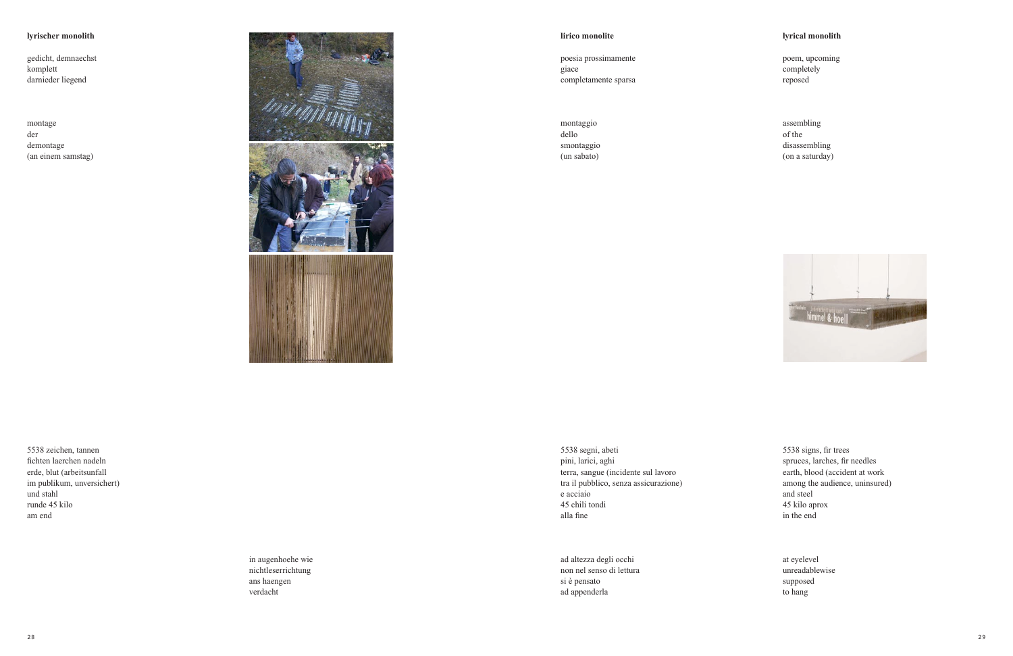# **lyrischer monolith**

gedicht, demnaechst komplett darnieder liegend

montage der demontage (an einem samstag)



poesia prossimamente giace completamente sparsa

montaggio dello smontaggio (un sabato)

**lirico monolite lyrical monolith**

poem, upcoming completely reposed

assembling of the disassembling (on a saturday)



5538 zeichen, tannen

fichten laerchen nadeln erde, blut (arbeitsunfall im publikum, unversichert) und stahl runde 45 kilo am end

in augenhoehe wie nichtleserrichtung ans haengen verdacht

5538 segni, abeti pini, larici, aghi terra, sangue (incidente sul lavoro tra il pubblico, senza assicurazione) e acciaio 45 chili tondi alla fine

ad altezza degli occhi non nel senso di lettura si è pensato ad appenderla

5538 signs, fir trees spruces, larches, fir needles earth, blood (accident at work among the audience, uninsured) and steel 45 kilo aprox in the end

at eyelevel unreadablewise supposed to hang